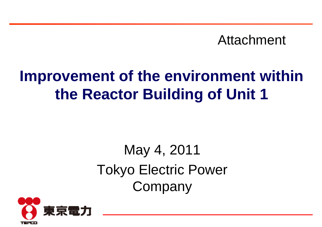Attachment

# **Improvement of the environment within the Reactor Building of Unit 1**

# May 4, 2011 Tokyo Electric Power Company

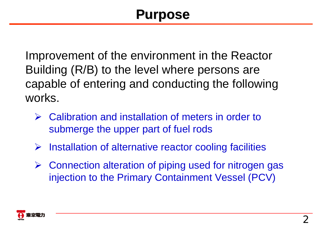### **Purpose Purpose**

Improvement of the environment in the Reactor Building (R/B) to the level where persons are capable of entering and conducting the following works.

- $\blacktriangleright$  Calibration and installation of meters in order to submerge the upper part of fuel rods
- $\sum_{i=1}^{n}$ Installation of alternative reactor cooling facilities
- $\blacktriangleright$  Connection alteration of piping used for nitrogen gas injection to the Primary Containment Vessel (PCV)

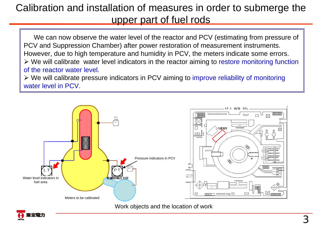### Calibration and installation of measures in order to submerge the upper part of fuel rods

We can now observe the water level of the reactor and PCV (estimating from pressure of PCV and Suppression Chamber) after power restoration of measurement instruments. However, due to high temperature and humidity in PCV, the meters indicate some errors. We will calibrate water level indicators in the reactor aiming to restore monitoring function of the reactor water level.

≻ We will calibrate pressure indicators in PCV aiming to improve reliability of monitoring water level in PCV.



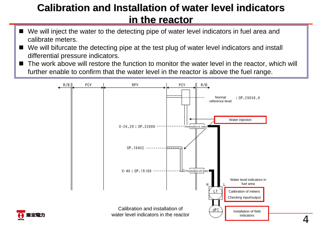### **Calibration and Installation of water level indicators in the reactor in the reactor**

- We will inject the water to the detecting pipe of water level indicators in fuel area and calibrate meters.
- We will bifurcate the detecting pipe at the test plug of water level indicators and install differential pressure indicators.
- The work above will restore the function to monitor the water level in the reactor, which will further enable to confirm that the water level in the reactor is above the fuel range.



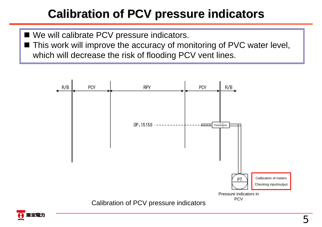### **Calibration of PCV pressure indicators Calibration of PCV pressure indicators**

- We will calibrate PCV pressure indicators.
- This work will improve the accuracy of monitoring of PVC water level, which will decrease the risk of flooding PCV vent lines.



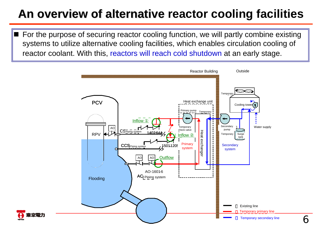### **An overview of alternative reactor cooling facilities An overview of alternative**

■ For the purpose of securing reactor cooling function, we will partly combine existing systems to utilize alternative cooling facilities, which enables circulation cooling of reactor coolant. With this, reactors will reach cold shutdown at an early stage.



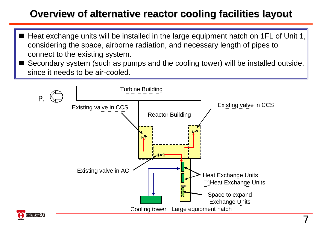### **Overview of alternative reactor cooling facilities layout**

- $\blacksquare$  Heat exchange units will be installed in the large equipment hatch on 1FL of Unit 1, considering the space, airborne radiation, and necessary length of pipes to connect to the existing system.
- Secondary system (such as pumps and the cooling tower) will be installed outside, since it needs to be air-cooled.

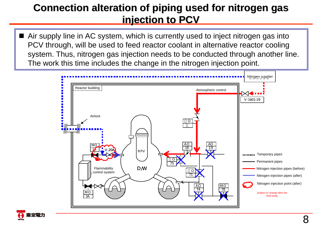#### **Connection alteration of piping used for nitrogen gas injection to PCV injection to PCV**

■ Air supply line in AC system, which is currently used to inject nitrogen gas into PCV through, will be used to feed reactor coolant in alternative reactor cooling system. Thus, nitrogen gas injection needs to be conducted through another line. The work this time includes the change in the nitrogen injection point.



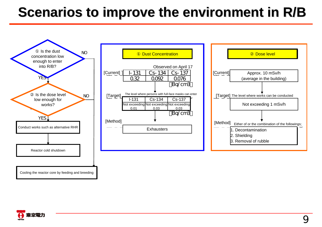## **Scenarios to improve the environment in R/B Scenarios to improve the environment in R/B**



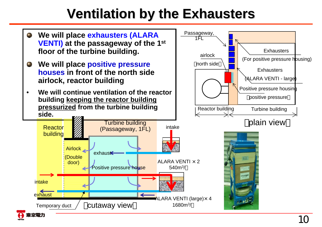## **Ventilation by the Exhausters Ventilation by the Exhausters**

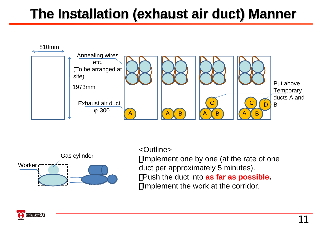## **The Installation (exhaust air duct) Manner The Installation (exhaust air duct) Manner**





#### <Outline>

Implement one by one (at the rate of one duct per approximately 5 minutes). Push the duct into **as far as possible.** Implement the work at the corridor.

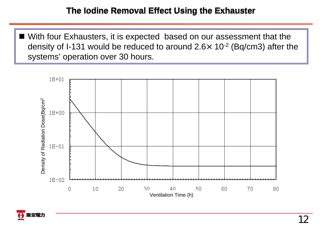■ With four Exhausters, it is expected based on our assessment that the density of I-131 would be reduced to around 2.6 $\times$  10<sup>-2</sup> (Bq/cm3) after the systems' operation over 30 hours.



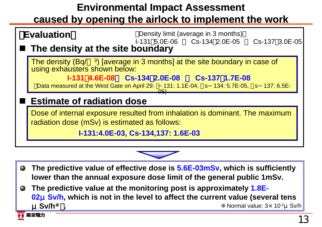### **Environmental Impact Assessment**

#### **caused by opening the airlock to implement the work caused by opening the airlock to implement the work**



- **The predictive value of effective dose is 5.6E-03mSv, which is sufficiently**   $\bullet$ **lower than the annual exposure dose limit of the general public 1mSv.**
- **The predictive value at the monitoring post is approximately 1.8E-** $\bullet$ **02**μ**Sv/h, which is not in the level to affect the current value (several tens**  μ**Sv/h**※)**.** Normal value: <sup>3</sup>×10-2μSv/h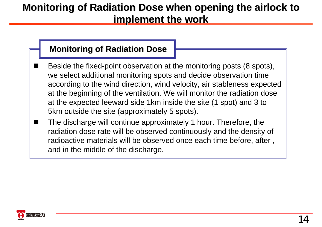### **Monitoring of Radiation Dose when opening the airlock to implement the work implement the work**

#### **Monitoring of Radiation Dose Monitoring of Radiation Dose**

- Beside the fixed-point observation at the monitoring posts (8 spots), we select additional monitoring spots and decide observation time according to the wind direction, wind velocity, air stableness expected at the beginning of the ventilation. We will monitor the radiation dose at the expected leeward side 1km inside the site (1 spot) and 3 to 5km outside the site (approximately 5 spots).
- H The discharge will continue approximately 1 hour. Therefore, the radiation dose rate will be observed continuously and the density of radioactive materials will be observed once each time before, after , and in the middle of the discharge.

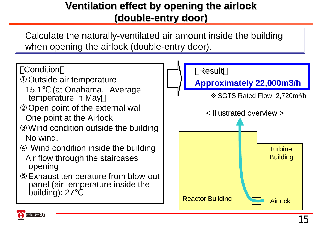### **Ventilation effect by opening the airlock Ventilation effect by opening the airlock (double (double -entry door) entry door)**

Calculate the naturally-ventilated air amount inside the building when opening the airlock (double-entry door).